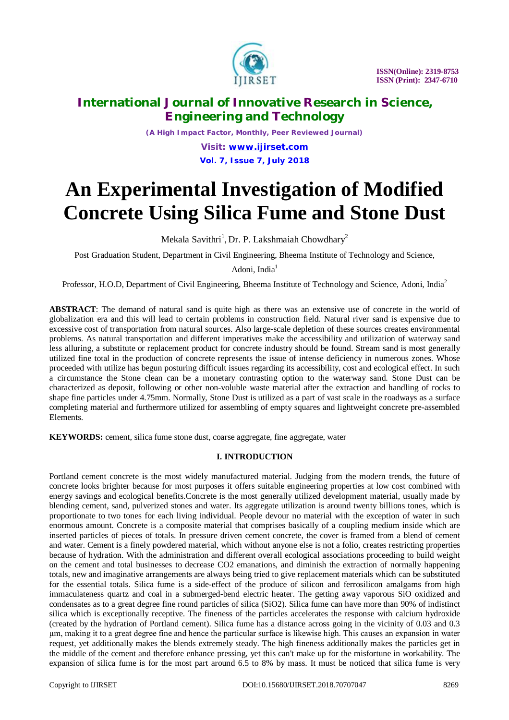

*(A High Impact Factor, Monthly, Peer Reviewed Journal) Visit: [www.ijirset.com](http://www.ijirset.com)*

**Vol. 7, Issue 7, July 2018**

# **An Experimental Investigation of Modified Concrete Using Silica Fume and Stone Dust**

Mekala Savithri<sup>1</sup>, Dr. P. Lakshmaiah Chowdhary<sup>2</sup>

Post Graduation Student, Department in Civil Engineering, Bheema Institute of Technology and Science,

Adoni, India $<sup>1</sup>$ </sup>

Professor, H.O.D, Department of Civil Engineering, Bheema Institute of Technology and Science, Adoni, India<sup>2</sup>

**ABSTRACT**: The demand of natural sand is quite high as there was an extensive use of concrete in the world of globalization era and this will lead to certain problems in construction field. Natural river sand is expensive due to excessive cost of transportation from natural sources. Also large-scale depletion of these sources creates environmental problems. As natural transportation and different imperatives make the accessibility and utilization of waterway sand less alluring, a substitute or replacement product for concrete industry should be found. Stream sand is most generally utilized fine total in the production of concrete represents the issue of intense deficiency in numerous zones. Whose proceeded with utilize has begun posturing difficult issues regarding its accessibility, cost and ecological effect. In such a circumstance the Stone clean can be a monetary contrasting option to the waterway sand. Stone Dust can be characterized as deposit, following or other non-voluble waste material after the extraction and handling of rocks to shape fine particles under 4.75mm. Normally, Stone Dust is utilized as a part of vast scale in the roadways as a surface completing material and furthermore utilized for assembling of empty squares and lightweight concrete pre-assembled Elements.

**KEYWORDS:** cement, silica fume stone dust, coarse aggregate, fine aggregate, water

### **I. INTRODUCTION**

Portland cement concrete is the most widely manufactured material. Judging from the modern trends, the future of concrete looks brighter because for most purposes it offers suitable engineering properties at low cost combined with energy savings and ecological benefits.Concrete is the most generally utilized development material, usually made by blending cement, sand, pulverized stones and water. Its aggregate utilization is around twenty billions tones, which is proportionate to two tones for each living individual. People devour no material with the exception of water in such enormous amount. Concrete is a composite material that comprises basically of a coupling medium inside which are inserted particles of pieces of totals. In pressure driven cement concrete, the cover is framed from a blend of cement and water. Cement is a finely powdered material, which without anyone else is not a folio, creates restricting properties because of hydration. With the administration and different overall ecological associations proceeding to build weight on the cement and total businesses to decrease CO2 emanations, and diminish the extraction of normally happening totals, new and imaginative arrangements are always being tried to give replacement materials which can be substituted for the essential totals. Silica fume is a side-effect of the produce of silicon and ferrosilicon amalgams from high immaculateness quartz and coal in a submerged-bend electric heater. The getting away vaporous SiO oxidized and condensates as to a great degree fine round particles of silica (SiO2). Silica fume can have more than 90% of indistinct silica which is exceptionally receptive. The fineness of the particles accelerates the response with calcium hydroxide (created by the hydration of Portland cement). Silica fume has a distance across going in the vicinity of 0.03 and 0.3 μm, making it to a great degree fine and hence the particular surface is likewise high. This causes an expansion in water request, yet additionally makes the blends extremely steady. The high fineness additionally makes the particles get in the middle of the cement and therefore enhance pressing, yet this can't make up for the misfortune in workability. The expansion of silica fume is for the most part around 6.5 to 8% by mass. It must be noticed that silica fume is very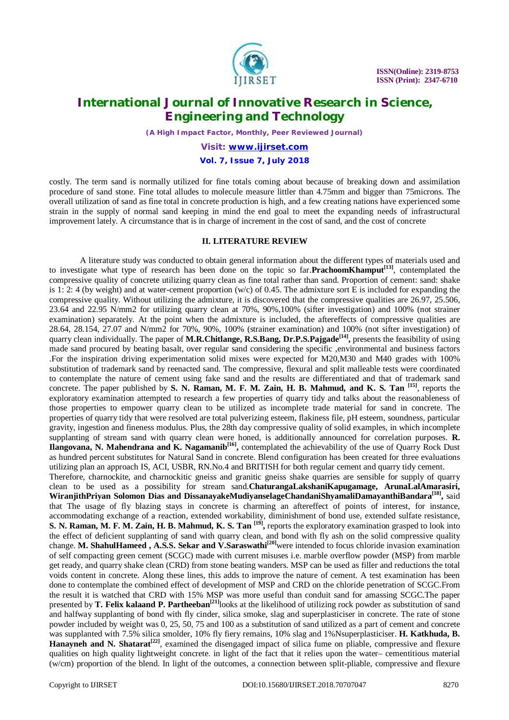

*(A High Impact Factor, Monthly, Peer Reviewed Journal)*

### *Visit: [www.ijirset.com](http://www.ijirset.com)* **Vol. 7, Issue 7, July 2018**

costly. The term sand is normally utilized for fine totals coming about because of breaking down and assimilation procedure of sand stone. Fine total alludes to molecule measure littler than 4.75mm and bigger than 75microns. The overall utilization of sand as fine total in concrete production is high, and a few creating nations have experienced some strain in the supply of normal sand keeping in mind the end goal to meet the expanding needs of infrastructural improvement lately. A circumstance that is in charge of increment in the cost of sand, and the cost of concrete

#### **II. LITERATURE REVIEW**

A literature study was conducted to obtain general information about the different types of materials used and to investigate what type of research has been done on the topic so far.**PrachoomKhamput[13]**, contemplated the compressive quality of concrete utilizing quarry clean as fine total rather than sand. Proportion of cement: sand: shake is 1: 2: 4 (by weight) and at water-cement proportion  $(w/c)$  of 0.45. The admixture sort E is included for expanding the compressive quality. Without utilizing the admixture, it is discovered that the compressive qualities are 26.97, 25.506, 23.64 and 22.95 N/mm2 for utilizing quarry clean at 70%, 90%,100% (sifter investigation) and 100% (not strainer examination) separately. At the point when the admixture is included, the aftereffects of compressive qualities are 28.64, 28.154, 27.07 and N/mm2 for 70%, 90%, 100% (strainer examination) and 100% (not sifter investigation) of quarry clean individually. The paper of **M.R.Chitlange, R.S.Bang, Dr.P.S.Pajgade[14] ,** presents the feasibility of using made sand procured by beating basalt, over regular sand considering the specific ,environmental and business factors .For the inspiration driving experimentation solid mixes were expected for M20,M30 and M40 grades with 100% substitution of trademark sand by reenacted sand. The compressive, flexural and split malleable tests were coordinated to contemplate the nature of cement using fake sand and the results are differentiated and that of trademark sand concrete. The paper published by **S. N. Raman, M. F. M. Zain, H. B. Mahmud, and K. S. Tan [15]**, reports the exploratory examination attempted to research a few properties of quarry tidy and talks about the reasonableness of those properties to empower quarry clean to be utilized as incomplete trade material for sand in concrete. The properties of quarry tidy that were resolved are total pulverizing esteem, flakiness file, pH esteem, soundness, particular gravity, ingestion and fineness modulus. Plus, the 28th day compressive quality of solid examples, in which incomplete supplanting of stream sand with quarry clean were honed, is additionally announced for correlation purposes. **R. Ilangovana, N. Mahendrana and K. Nagamanib[16] ,** contemplated the achievability of the use of Quarry Rock Dust as hundred percent substitutes for Natural Sand in concrete. Blend configuration has been created for three evaluations utilizing plan an approach IS, ACI, USBR, RN.No.4 and BRITISH for both regular cement and quarry tidy cement. Therefore, charnockite, and charnockitic gneiss and granitic gneiss shake quarries are sensible for supply of quarry clean to be used as a possibility for stream sand.**ChaturangaLakshaniKapugamage, ArunaLalAmarasiri, WiranjithPriyan Solomon Dias and DissanayakeMudiyanselageChandaniShyamaliDamayanthiBandara[18] ,** said that The usage of fly blazing stays in concrete is charming an aftereffect of points of interest, for instance, accommodating exchange of a reaction, extended workability, diminishment of bond use, extended sulfate resistance, **S. N. Raman, M. F. M. Zain, H. B. Mahmud, K. S. Tan [19] ,** reports the exploratory examination grasped to look into the effect of deficient supplanting of sand with quarry clean, and bond with fly ash on the solid compressive quality change. **M. ShahulHameed , A.S.S. Sekar and V.Saraswathi[20]**were intended to focus chloride invasion examination of self compacting green cement (SCGC) made with current misuses i.e. marble overflow powder (MSP) from marble get ready, and quarry shake clean (CRD) from stone beating wanders. MSP can be used as filler and reductions the total voids content in concrete. Along these lines, this adds to improve the nature of cement. A test examination has been done to contemplate the combined effect of development of MSP and CRD on the chloride penetration of SCGC.From the result it is watched that CRD with 15% MSP was more useful than conduit sand for amassing SCGC.The paper presented by **T. Felix kalaand P. Partheeban[21]**looks at the likelihood of utilizing rock powder as substitution of sand and halfway supplanting of bond with fly cinder, silica smoke, slag and superplasticiser in concrete. The rate of stone powder included by weight was 0, 25, 50, 75 and 100 as a substitution of sand utilized as a part of cement and concrete was supplanted with 7.5% silica smolder, 10% fly fiery remains, 10% slag and 1%Nsuperplasticiser. **H. Katkhuda, B. Hanayneh and N. Shatarat[22]**, examined the disengaged impact of silica fume on pliable, compressive and flexure qualities on high quality lightweight concrete. in light of the fact that it relies upon the water– cementitious material (w/cm) proportion of the blend. In light of the outcomes, a connection between split-pliable, compressive and flexure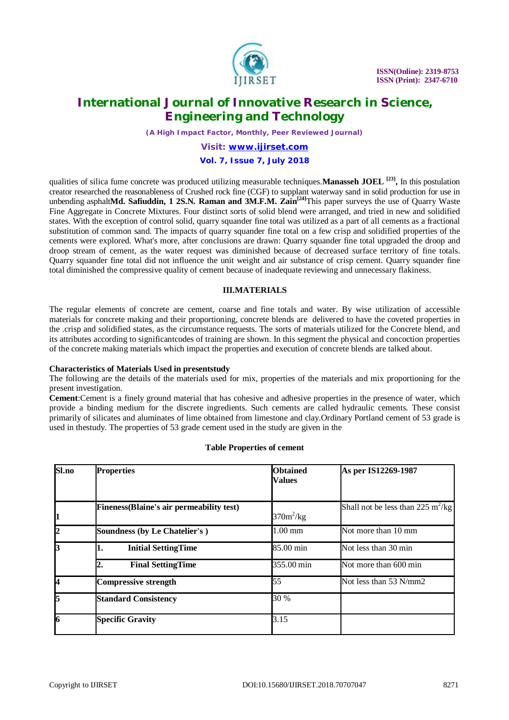

*(A High Impact Factor, Monthly, Peer Reviewed Journal)*

### *Visit: [www.ijirset.com](http://www.ijirset.com)* **Vol. 7, Issue 7, July 2018**

qualities of silica fume concrete was produced utilizing measurable techniques.**Manasseh JOEL [23] ,** In this postulation creator researched the reasonableness of Crushed rock fine (CGF) to supplant waterway sand in solid production for use in unbending asphalt**Md. Safiuddin, 1 2S.N. Raman and 3M.F.M. Zain<sup>[24]</sup>This paper surveys the use of Quarry Waste** Fine Aggregate in Concrete Mixtures. Four distinct sorts of solid blend were arranged, and tried in new and solidified states. With the exception of control solid, quarry squander fine total was utilized as a part of all cements as a fractional substitution of common sand. The impacts of quarry squander fine total on a few crisp and solidified properties of the cements were explored. What's more, after conclusions are drawn: Quarry squander fine total upgraded the droop and droop stream of cement, as the water request was diminished because of decreased surface territory of fine totals. Quarry squander fine total did not influence the unit weight and air substance of crisp cement. Quarry squander fine total diminished the compressive quality of cement because of inadequate reviewing and unnecessary flakiness.

### **III.MATERIALS**

The regular elements of concrete are cement, coarse and fine totals and water. By wise utilization of accessible materials for concrete making and their proportioning, concrete blends are delivered to have the coveted properties in the .crisp and solidified states, as the circumstance requests. The sorts of materials utilized for the Concrete blend, and its attributes according to significantcodes of training are shown. In this segment the physical and concoction properties of the concrete making materials which impact the properties and execution of concrete blends are talked about.

#### **Characteristics of Materials Used in presentstudy**

The following are the details of the materials used for mix, properties of the materials and mix proportioning for the present investigation.

**Cement**:Cement is a finely ground material that has cohesive and adhesive properties in the presence of water, which provide a binding medium for the discrete ingredients. Such cements are called hydraulic cements. These consist primarily of silicates and aluminates of lime obtained from limestone and clay.Ordinary Portland cement of 53 grade is used in thestudy. The properties of 53 grade cement used in the study are given in the

| Sl.no | <b>Properties</b>                                | <b>Obtained</b><br><b>Values</b> | As per IS12269-1987                           |
|-------|--------------------------------------------------|----------------------------------|-----------------------------------------------|
| 11    | <b>Fineness</b> (Blaine's air permeability test) | $370m^2/kg$                      | Shall not be less than 225 m <sup>2</sup> /kg |
| I2    | <b>Soundness (by Le Chatelier's)</b>             | $1.00$ mm                        | Not more than 10 mm                           |
| 13    | <b>Initial SettingTime</b>                       | 85.00 min                        | Not less than 30 min                          |
|       | <b>Final SettingTime</b><br>2.                   | 355.00 min                       | Not more than 600 min                         |
| 4     | <b>Compressive strength</b>                      | 55                               | Not less than 53 N/mm2                        |
| 15    | <b>Standard Consistency</b>                      | 30 %                             |                                               |
| 16    | <b>Specific Gravity</b>                          | 3.15                             |                                               |

#### **Table Properties of cement**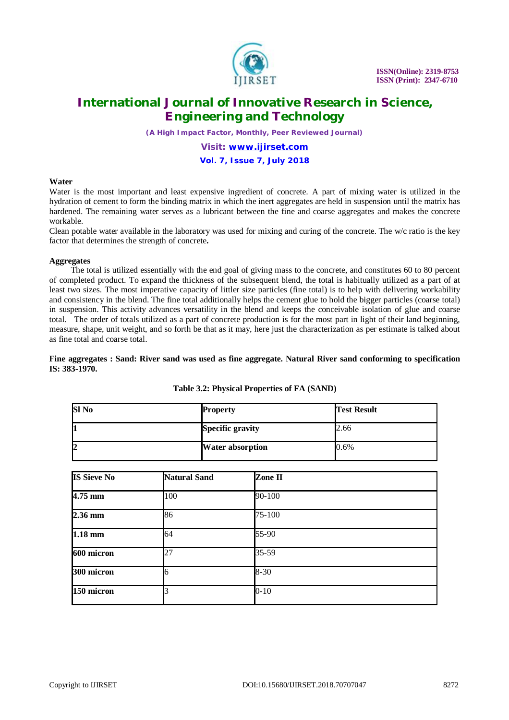

*(A High Impact Factor, Monthly, Peer Reviewed Journal)*

### *Visit: [www.ijirset.com](http://www.ijirset.com)* **Vol. 7, Issue 7, July 2018**

#### **Water**

Water is the most important and least expensive ingredient of concrete. A part of mixing water is utilized in the hydration of cement to form the binding matrix in which the inert aggregates are held in suspension until the matrix has hardened. The remaining water serves as a lubricant between the fine and coarse aggregates and makes the concrete workable.

Clean potable water available in the laboratory was used for mixing and curing of the concrete. The w/c ratio is the key factor that determines the strength of concrete**.**

#### **Aggregates**

 The total is utilized essentially with the end goal of giving mass to the concrete, and constitutes 60 to 80 percent of completed product. To expand the thickness of the subsequent blend, the total is habitually utilized as a part of at least two sizes. The most imperative capacity of littler size particles (fine total) is to help with delivering workability and consistency in the blend. The fine total additionally helps the cement glue to hold the bigger particles (coarse total) in suspension. This activity advances versatility in the blend and keeps the conceivable isolation of glue and coarse total. The order of totals utilized as a part of concrete production is for the most part in light of their land beginning, measure, shape, unit weight, and so forth be that as it may, here just the characterization as per estimate is talked about as fine total and coarse total.

#### **Fine aggregates : Sand: River sand was used as fine aggregate. Natural River sand conforming to specification IS: 383-1970.**

| Sl No | <b>Property</b>         | <b>Test Result</b> |
|-------|-------------------------|--------------------|
| ш     | <b>Specific gravity</b> | 2.66               |
| I2    | <b>Water absorption</b> | $0.6\%$            |

#### **Table 3.2: Physical Properties of FA (SAND)**

| <b>IS Sieve No</b> | <b>Natural Sand</b> | Zone II  |  |
|--------------------|---------------------|----------|--|
| $4.75$ mm          | 100                 | 90-100   |  |
| $2.36$ mm          | 86                  | 75-100   |  |
| $1.18 \text{ mm}$  | 64                  | 55-90    |  |
| 600 micron         | 27                  | 35-59    |  |
| 300 micron         | 6                   | $8 - 30$ |  |
| 150 micron         |                     | $0 - 10$ |  |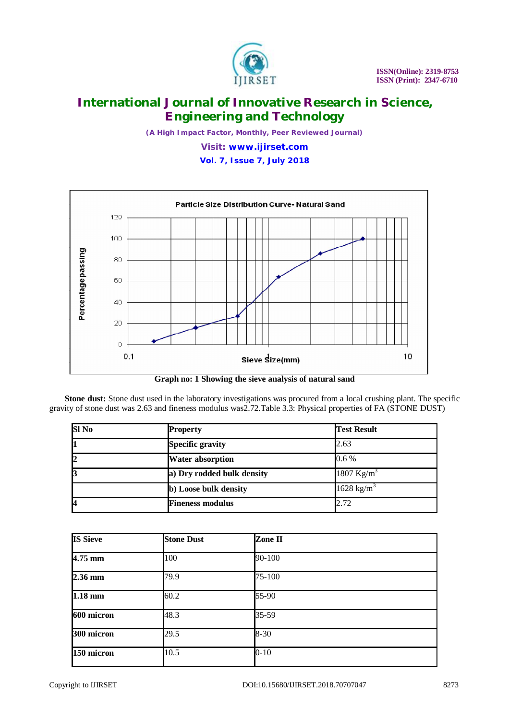

*(A High Impact Factor, Monthly, Peer Reviewed Journal)*

*Visit: [www.ijirset.com](http://www.ijirset.com)*

**Vol. 7, Issue 7, July 2018**



**Graph no: 1 Showing the sieve analysis of natural sand**

**Stone dust:** Stone dust used in the laboratory investigations was procured from a local crushing plant. The specific gravity of stone dust was 2.63 and fineness modulus was2.72.Table 3.3: Physical properties of FA (STONE DUST)

| $SI$ No | <b>Property</b>            | <b>Test Result</b>     |
|---------|----------------------------|------------------------|
| 1       | <b>Specific gravity</b>    | 2.63                   |
| 2       | <b>Water absorption</b>    | $0.6\%$                |
| 3       | a) Dry rodded bulk density | 1807 Kg/m <sup>3</sup> |
|         | b) Loose bulk density      | 1628 kg/m <sup>3</sup> |
| 4       | <b>Fineness modulus</b>    | 2.72                   |

| <b>IS Sieve</b>      | <b>Stone Dust</b> | Zone II  |  |
|----------------------|-------------------|----------|--|
| $4.75$ mm            | 100               | 90-100   |  |
| $2.36$ mm            | 79.9              | 75-100   |  |
| $\overline{1.18}$ mm | 60.2              | 55-90    |  |
| 600 micron           | 48.3              | 35-59    |  |
| 300 micron           | 29.5              | $8 - 30$ |  |
| 150 micron           | 10.5              | $0 - 10$ |  |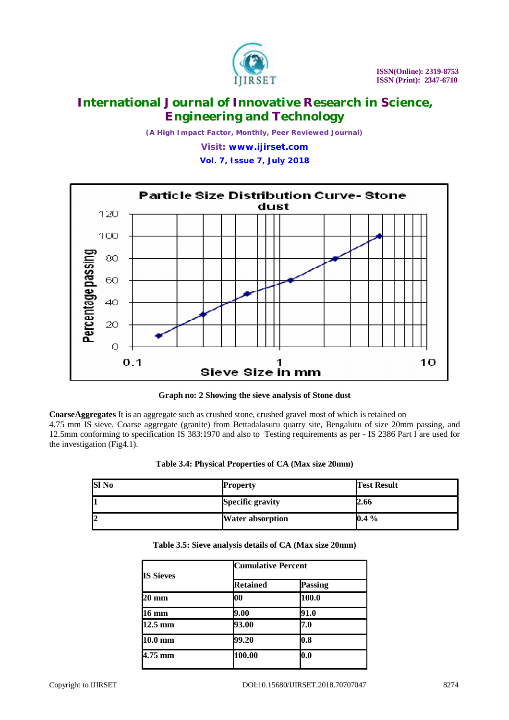

*(A High Impact Factor, Monthly, Peer Reviewed Journal)*

*Visit: [www.ijirset.com](http://www.ijirset.com)*

**Vol. 7, Issue 7, July 2018**



**Graph no: 2 Showing the sieve analysis of Stone dust**

**CoarseAggregates** It is an aggregate such as crushed stone, crushed gravel most of which is retained on 4.75 mm IS sieve. Coarse aggregate (granite) from Bettadalasuru quarry site, Bengaluru of size 20mm passing, and 12.5mm conforming to specification IS 383:1970 and also to Testing requirements as per - IS 2386 Part I are used for the investigation (Fig4.1).

|  |  | Table 3.4: Physical Properties of CA (Max size 20mm) |  |  |  |
|--|--|------------------------------------------------------|--|--|--|
|--|--|------------------------------------------------------|--|--|--|

| <b>SI</b> No | <b>Property</b>         | <b>Test Result</b> |
|--------------|-------------------------|--------------------|
|              | <b>Specific gravity</b> | 2.66               |
|              | <b>Water absorption</b> | $0.4\%$            |

| Table 3.5: Sieve analysis details of CA (Max size 20mm) |
|---------------------------------------------------------|
|---------------------------------------------------------|

| <b>IS Sieves</b>  | <b>Cumulative Percent</b> |                |  |
|-------------------|---------------------------|----------------|--|
|                   | <b>Retained</b>           | <b>Passing</b> |  |
| 20 mm             | 00                        | 100.0          |  |
| 16 mm             | 9.00                      | 91.0           |  |
| $12.5 \text{ mm}$ | 93.00                     | 7.0            |  |
| $10.0 \text{ mm}$ | 99.20                     | 0.8            |  |
| 4.75 mm           | 100.00                    | 0.0            |  |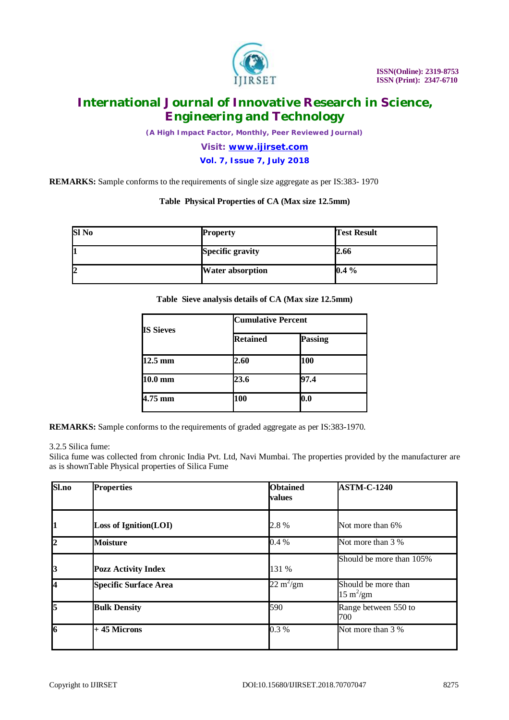

*(A High Impact Factor, Monthly, Peer Reviewed Journal)*

### *Visit: [www.ijirset.com](http://www.ijirset.com)*

### **Vol. 7, Issue 7, July 2018**

**REMARKS:** Sample conforms to the requirements of single size aggregate as per IS:383- 1970

#### **Table Physical Properties of CA (Max size 12.5mm)**

| Sl No | <b>Property</b>         | <b>Test Result</b> |
|-------|-------------------------|--------------------|
|       | <b>Specific gravity</b> | 2.66               |
| 2     | <b>Water absorption</b> | $0.4\%$            |

#### **Table Sieve analysis details of CA (Max size 12.5mm)**

| <b>IS Sieves</b>  | <b>Cumulative Percent</b> |         |  |
|-------------------|---------------------------|---------|--|
|                   | <b>Retained</b>           | Passing |  |
| $12.5 \text{ mm}$ | 2.60                      | 100     |  |
| $10.0 \text{ mm}$ | 23.6                      | 97.4    |  |
| $4.75$ mm         | 100                       | 0.0     |  |

**REMARKS:** Sample conforms to the requirements of graded aggregate as per IS:383-1970.

#### 3.2.5 Silica fume:

Silica fume was collected from chronic India Pvt. Ltd, Navi Mumbai. The properties provided by the manufacturer are as is shownTable Physical properties of Silica Fume

| Sl.no                     | <b>Properties</b>            | <b>Obtained</b><br>values  | <b>ASTM-C-1240</b>                                |
|---------------------------|------------------------------|----------------------------|---------------------------------------------------|
| 1                         | <b>Loss of Ignition(LOI)</b> | 2.8%                       | Not more than 6%                                  |
| l2                        | <b>Moisture</b>              | 0.4%                       | Not more than 3 %                                 |
| $\boldsymbol{\mathsf{B}}$ | <b>Pozz Activity Index</b>   | 131 %                      | Should be more than 105%                          |
| 14                        | <b>Specific Surface Area</b> | $22 \text{ m}^2/\text{gm}$ | Should be more than<br>$15 \text{ m}^2/\text{gm}$ |
| l5                        | <b>Bulk Density</b>          | 590                        | Range between 550 to<br>700                       |
| l6                        | $+45$ Microns                | 0.3%                       | Not more than 3 %                                 |